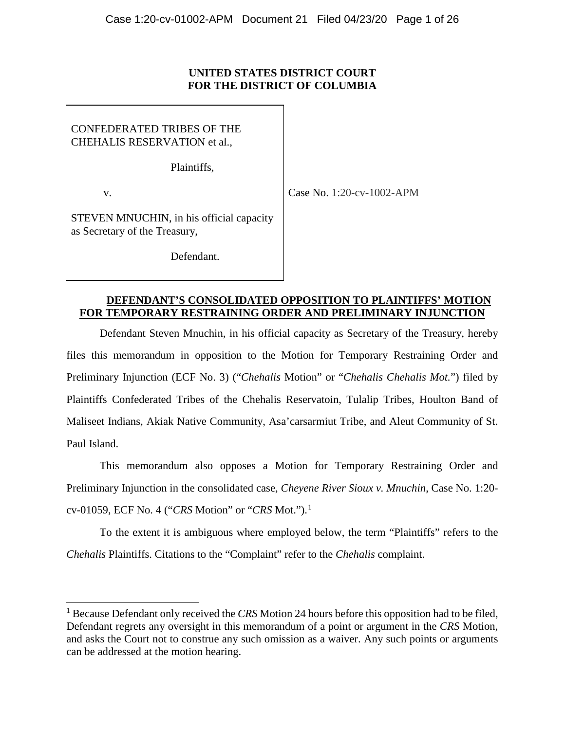## **UNITED STATES DISTRICT COURT FOR THE DISTRICT OF COLUMBIA**

CONFEDERATED TRIBES OF THE CHEHALIS RESERVATION et al.,

Plaintiffs,

v.

Case No. 1:20-cv-1002-APM

STEVEN MNUCHIN, in his official capacity as Secretary of the Treasury,

Defendant.

## **DEFENDANT'S CONSOLIDATED OPPOSITION TO PLAINTIFFS' MOTION FOR TEMPORARY RESTRAINING ORDER AND PRELIMINARY INJUNCTION**

Defendant Steven Mnuchin, in his official capacity as Secretary of the Treasury, hereby files this memorandum in opposition to the Motion for Temporary Restraining Order and Preliminary Injunction (ECF No. 3) ("*Chehalis* Motion" or "*Chehalis Chehalis Mot.*") filed by Plaintiffs Confederated Tribes of the Chehalis Reservatoin, Tulalip Tribes, Houlton Band of Maliseet Indians, Akiak Native Community, Asa'carsarmiut Tribe, and Aleut Community of St. Paul Island.

This memorandum also opposes a Motion for Temporary Restraining Order and Preliminary Injunction in the consolidated case, *Cheyene River Sioux v. Mnuchin*, Case No. 1:20 cv-01059, ECF No. 4 ("*CRS* Motion" or "*CRS* Mot.").[1](#page-0-0)

To the extent it is ambiguous where employed below, the term "Plaintiffs" refers to the *Chehalis* Plaintiffs. Citations to the "Complaint" refer to the *Chehalis* complaint.

<span id="page-0-0"></span><sup>1</sup> Because Defendant only received the *CRS* Motion 24 hours before this opposition had to be filed, Defendant regrets any oversight in this memorandum of a point or argument in the *CRS* Motion, and asks the Court not to construe any such omission as a waiver. Any such points or arguments can be addressed at the motion hearing.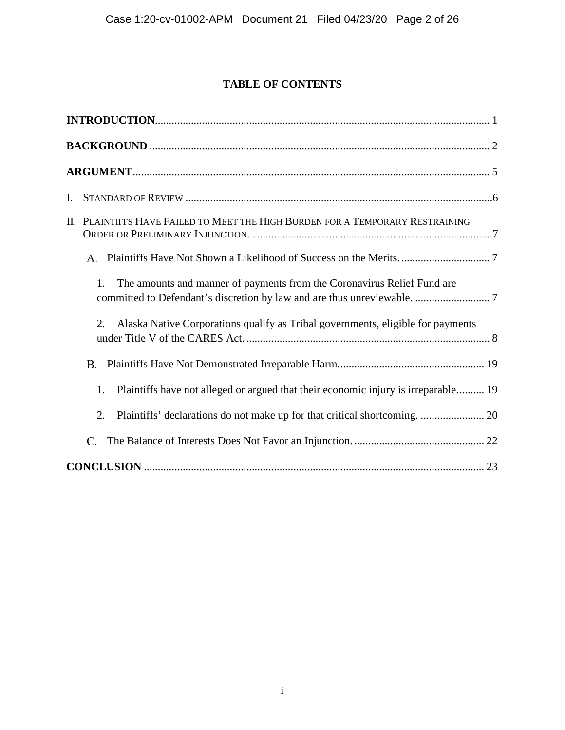# **TABLE OF CONTENTS**

| I. |                                                                                          |
|----|------------------------------------------------------------------------------------------|
|    | II. PLAINTIFFS HAVE FAILED TO MEET THE HIGH BURDEN FOR A TEMPORARY RESTRAINING           |
|    |                                                                                          |
|    | The amounts and manner of payments from the Coronavirus Relief Fund are<br>1.            |
|    | Alaska Native Corporations qualify as Tribal governments, eligible for payments<br>2.    |
|    |                                                                                          |
|    | Plaintiffs have not alleged or argued that their economic injury is irreparable 19<br>1. |
|    | 2.                                                                                       |
|    | C.                                                                                       |
|    |                                                                                          |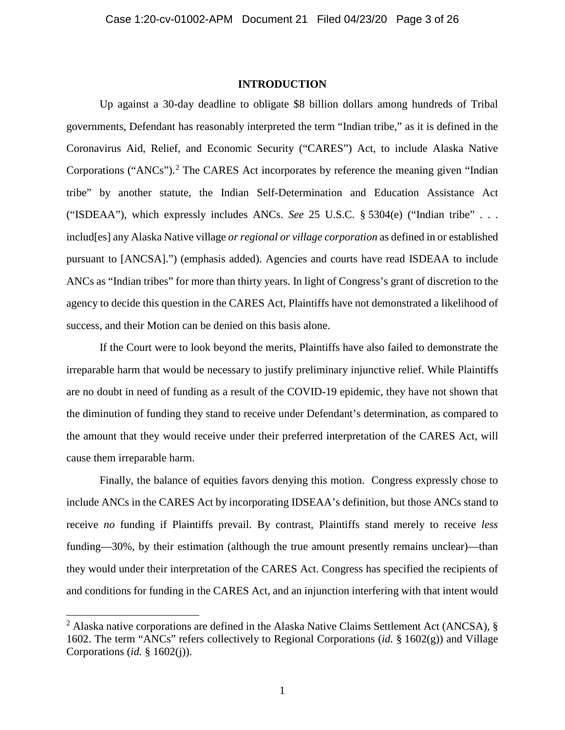#### **INTRODUCTION**

<span id="page-2-0"></span>Up against a 30-day deadline to obligate \$8 billion dollars among hundreds of Tribal governments, Defendant has reasonably interpreted the term "Indian tribe," as it is defined in the Coronavirus Aid, Relief, and Economic Security ("CARES") Act, to include Alaska Native Corporations ("ANCs").<sup>[2](#page-2-1)</sup> The CARES Act incorporates by reference the meaning given "Indian" tribe" by another statute, the Indian Self-Determination and Education Assistance Act ("ISDEAA"), which expressly includes ANCs. *See* 25 U.S.C. § 5304(e) ("Indian tribe" . . . includ[es] any Alaska Native village *or regional or village corporation* as defined in or established pursuant to [ANCSA].") (emphasis added). Agencies and courts have read ISDEAA to include ANCs as "Indian tribes" for more than thirty years. In light of Congress's grant of discretion to the agency to decide this question in the CARES Act, Plaintiffs have not demonstrated a likelihood of success, and their Motion can be denied on this basis alone.

If the Court were to look beyond the merits, Plaintiffs have also failed to demonstrate the irreparable harm that would be necessary to justify preliminary injunctive relief. While Plaintiffs are no doubt in need of funding as a result of the COVID-19 epidemic, they have not shown that the diminution of funding they stand to receive under Defendant's determination, as compared to the amount that they would receive under their preferred interpretation of the CARES Act, will cause them irreparable harm.

Finally, the balance of equities favors denying this motion. Congress expressly chose to include ANCs in the CARES Act by incorporating IDSEAA's definition, but those ANCs stand to receive *no* funding if Plaintiffs prevail. By contrast, Plaintiffs stand merely to receive *less*  funding—30%, by their estimation (although the true amount presently remains unclear)—than they would under their interpretation of the CARES Act. Congress has specified the recipients of and conditions for funding in the CARES Act, and an injunction interfering with that intent would

<span id="page-2-1"></span><sup>&</sup>lt;sup>2</sup> Alaska native corporations are defined in the Alaska Native Claims Settlement Act (ANCSA),  $\S$ 1602. The term "ANCs" refers collectively to Regional Corporations (*id.* § 1602(g)) and Village Corporations (*id.* § 1602(j)).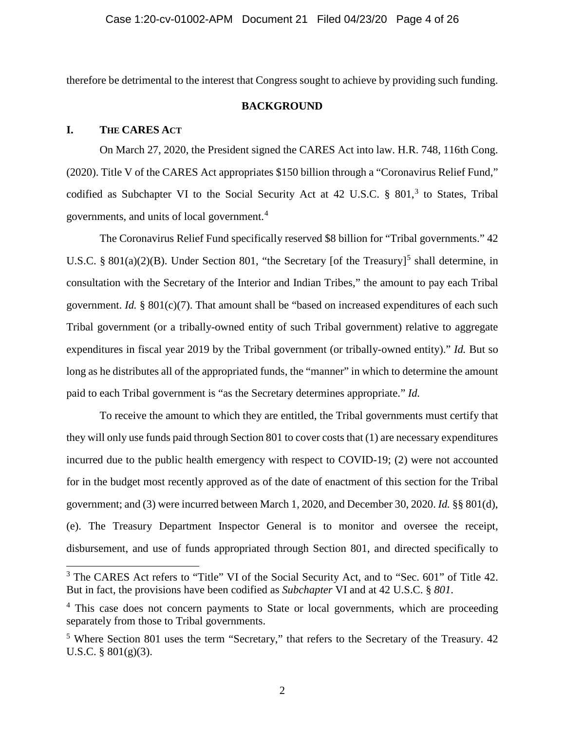<span id="page-3-0"></span>therefore be detrimental to the interest that Congress sought to achieve by providing such funding.

## **BACKGROUND**

## **I. THE CARES ACT**

On March 27, 2020, the President signed the CARES Act into law. H.R. 748, 116th Cong. (2020). Title V of the CARES Act appropriates \$150 billion through a "Coronavirus Relief Fund," codified as Subchapter VI to the Social Security Act at 42 U.S.C. § 801,<sup>[3](#page-3-1)</sup> to States, Tribal governments, and units of local government.[4](#page-3-2)

The Coronavirus Relief Fund specifically reserved \$8 billion for "Tribal governments." 42 U.S.C. § 801(a)(2)(B). Under Section 801, "the Secretary [of the Treasury]<sup>[5](#page-3-3)</sup> shall determine, in consultation with the Secretary of the Interior and Indian Tribes," the amount to pay each Tribal government. *Id.* § 801(c)(7). That amount shall be "based on increased expenditures of each such Tribal government (or a tribally-owned entity of such Tribal government) relative to aggregate expenditures in fiscal year 2019 by the Tribal government (or tribally-owned entity)." *Id.* But so long as he distributes all of the appropriated funds, the "manner" in which to determine the amount paid to each Tribal government is "as the Secretary determines appropriate." *Id.*

To receive the amount to which they are entitled, the Tribal governments must certify that they will only use funds paid through Section 801 to cover costs that (1) are necessary expenditures incurred due to the public health emergency with respect to COVID-19; (2) were not accounted for in the budget most recently approved as of the date of enactment of this section for the Tribal government; and (3) were incurred between March 1, 2020, and December 30, 2020. *Id.* §§ 801(d), (e). The Treasury Department Inspector General is to monitor and oversee the receipt, disbursement, and use of funds appropriated through Section 801, and directed specifically to

<span id="page-3-1"></span><sup>&</sup>lt;sup>3</sup> The CARES Act refers to "Title" VI of the Social Security Act, and to "Sec. 601" of Title 42. But in fact, the provisions have been codified as *Subchapter* VI and at 42 U.S.C. § *801*.

<span id="page-3-2"></span><sup>&</sup>lt;sup>4</sup> This case does not concern payments to State or local governments, which are proceeding separately from those to Tribal governments.

<span id="page-3-3"></span> $5$  Where Section 801 uses the term "Secretary," that refers to the Secretary of the Treasury. 42 U.S.C. § 801(g)(3).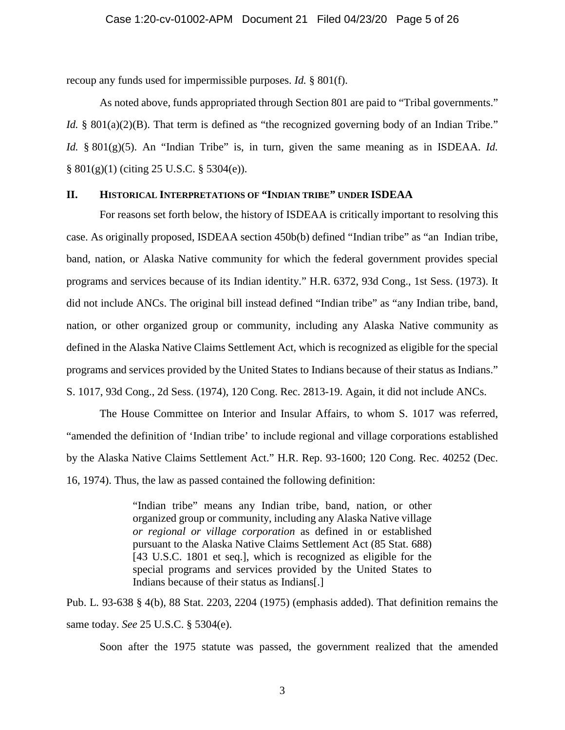recoup any funds used for impermissible purposes. *Id.* § 801(f).

As noted above, funds appropriated through Section 801 are paid to "Tribal governments." *Id.* § 801(a)(2)(B). That term is defined as "the recognized governing body of an Indian Tribe." *Id.* § 801(g)(5). An "Indian Tribe" is, in turn, given the same meaning as in ISDEAA. *Id.* § 801(g)(1) (citing 25 U.S.C. § 5304(e)).

## **II. HISTORICAL INTERPRETATIONS OF "INDIAN TRIBE" UNDER ISDEAA**

For reasons set forth below, the history of ISDEAA is critically important to resolving this case. As originally proposed, ISDEAA section 450b(b) defined "Indian tribe" as "an Indian tribe, band, nation, or Alaska Native community for which the federal government provides special programs and services because of its Indian identity." H.R. 6372, 93d Cong., 1st Sess. (1973). It did not include ANCs. The original bill instead defined "Indian tribe" as "any Indian tribe, band, nation, or other organized group or community, including any Alaska Native community as defined in the Alaska Native Claims Settlement Act, which is recognized as eligible for the special programs and services provided by the United States to Indians because of their status as Indians." S. 1017, 93d Cong., 2d Sess. (1974), 120 Cong. Rec. 2813-19. Again, it did not include ANCs.

The House Committee on Interior and Insular Affairs, to whom S. 1017 was referred, "amended the definition of 'Indian tribe' to include regional and village corporations established by the Alaska Native Claims Settlement Act." H.R. Rep. 93-1600; 120 Cong. Rec. 40252 (Dec. 16, 1974). Thus, the law as passed contained the following definition:

> "Indian tribe" means any Indian tribe, band, nation, or other organized group or community, including any Alaska Native village *or regional or village corporation* as defined in or established pursuant to the Alaska Native Claims Settlement Act (85 Stat. 688) [43 U.S.C. 1801 et seq.], which is recognized as eligible for the special programs and services provided by the United States to Indians because of their status as Indians[.]

Pub. L. 93-638 § 4(b), 88 Stat. 2203, 2204 (1975) (emphasis added). That definition remains the same today. *See* 25 U.S.C. § 5304(e).

Soon after the 1975 statute was passed, the government realized that the amended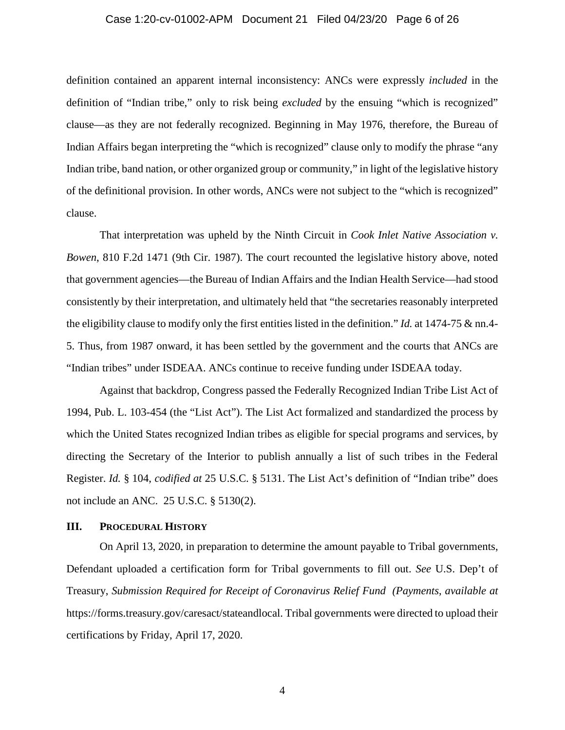#### Case 1:20-cv-01002-APM Document 21 Filed 04/23/20 Page 6 of 26

definition contained an apparent internal inconsistency: ANCs were expressly *included* in the definition of "Indian tribe," only to risk being *excluded* by the ensuing "which is recognized" clause—as they are not federally recognized. Beginning in May 1976, therefore, the Bureau of Indian Affairs began interpreting the "which is recognized" clause only to modify the phrase "any Indian tribe, band nation, or other organized group or community," in light of the legislative history of the definitional provision. In other words, ANCs were not subject to the "which is recognized" clause.

That interpretation was upheld by the Ninth Circuit in *Cook Inlet Native Association v. Bowen*, 810 F.2d 1471 (9th Cir. 1987). The court recounted the legislative history above, noted that government agencies—the Bureau of Indian Affairs and the Indian Health Service—had stood consistently by their interpretation, and ultimately held that "the secretaries reasonably interpreted the eligibility clause to modify only the first entities listed in the definition." *Id.* at 1474-75 & nn.4- 5. Thus, from 1987 onward, it has been settled by the government and the courts that ANCs are "Indian tribes" under ISDEAA. ANCs continue to receive funding under ISDEAA today.

Against that backdrop, Congress passed the Federally Recognized Indian Tribe List Act of 1994, Pub. L. 103-454 (the "List Act"). The List Act formalized and standardized the process by which the United States recognized Indian tribes as eligible for special programs and services, by directing the Secretary of the Interior to publish annually a list of such tribes in the Federal Register. *Id.* § 104, *codified at* 25 U.S.C. § 5131. The List Act's definition of "Indian tribe" does not include an ANC. 25 U.S.C. § 5130(2).

### **III. PROCEDURAL HISTORY**

On April 13, 2020, in preparation to determine the amount payable to Tribal governments, Defendant uploaded a certification form for Tribal governments to fill out. *See* U.S. Dep't of Treasury, *Submission Required for Receipt of Coronavirus Relief Fund (Payments*, *available at*  https://forms.treasury.gov/caresact/stateandlocal. Tribal governments were directed to upload their certifications by Friday, April 17, 2020.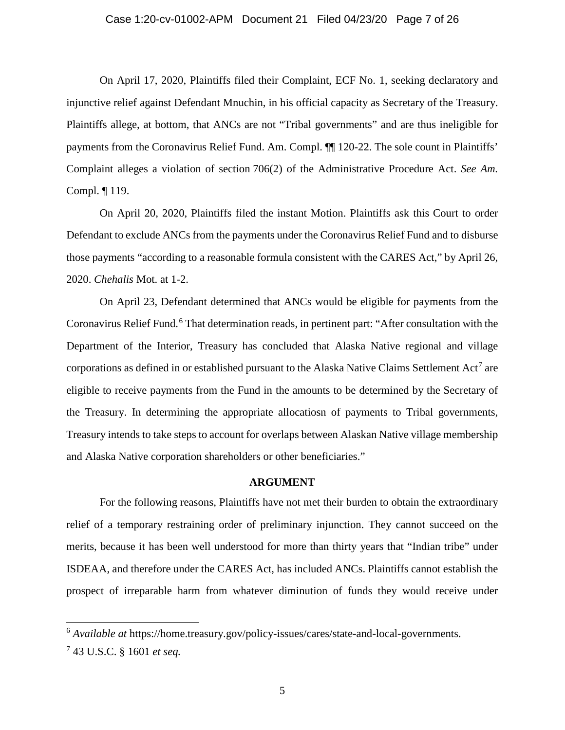#### Case 1:20-cv-01002-APM Document 21 Filed 04/23/20 Page 7 of 26

On April 17, 2020, Plaintiffs filed their Complaint, ECF No. 1, seeking declaratory and injunctive relief against Defendant Mnuchin, in his official capacity as Secretary of the Treasury. Plaintiffs allege, at bottom, that ANCs are not "Tribal governments" and are thus ineligible for payments from the Coronavirus Relief Fund. Am. Compl. ¶¶ 120-22. The sole count in Plaintiffs' Complaint alleges a violation of section 706(2) of the Administrative Procedure Act. *See Am.*  Compl. ¶ 119.

On April 20, 2020, Plaintiffs filed the instant Motion. Plaintiffs ask this Court to order Defendant to exclude ANCs from the payments under the Coronavirus Relief Fund and to disburse those payments "according to a reasonable formula consistent with the CARES Act," by April 26, 2020. *Chehalis* Mot. at 1-2.

On April 23, Defendant determined that ANCs would be eligible for payments from the Coronavirus Relief Fund.<sup>[6](#page-6-1)</sup> That determination reads, in pertinent part: "After consultation with the Department of the Interior, Treasury has concluded that Alaska Native regional and village corporations as defined in or established pursuant to the Alaska Native Claims Settlement  $Act<sup>7</sup>$  $Act<sup>7</sup>$  $Act<sup>7</sup>$  are eligible to receive payments from the Fund in the amounts to be determined by the Secretary of the Treasury. In determining the appropriate allocatiosn of payments to Tribal governments, Treasury intends to take steps to account for overlaps between Alaskan Native village membership and Alaska Native corporation shareholders or other beneficiaries."

#### **ARGUMENT**

<span id="page-6-0"></span>For the following reasons, Plaintiffs have not met their burden to obtain the extraordinary relief of a temporary restraining order of preliminary injunction. They cannot succeed on the merits, because it has been well understood for more than thirty years that "Indian tribe" under ISDEAA, and therefore under the CARES Act, has included ANCs. Plaintiffs cannot establish the prospect of irreparable harm from whatever diminution of funds they would receive under

<span id="page-6-1"></span><sup>6</sup> *Available at* https://home.treasury.gov/policy-issues/cares/state-and-local-governments.

<span id="page-6-2"></span><sup>7</sup> 43 U.S.C. § 1601 *et seq.*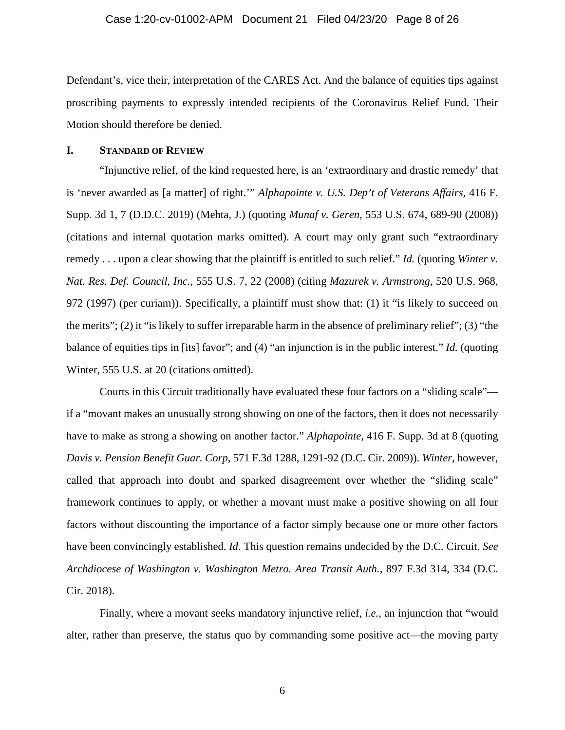#### Case 1:20-cv-01002-APM Document 21 Filed 04/23/20 Page 8 of 26

Defendant's, vice their, interpretation of the CARES Act. And the balance of equities tips against proscribing payments to expressly intended recipients of the Coronavirus Relief Fund. Their Motion should therefore be denied.

### <span id="page-7-0"></span>**I. STANDARD OF REVIEW**

"Injunctive relief, of the kind requested here, is an 'extraordinary and drastic remedy' that is 'never awarded as [a matter] of right.'" *Alphapointe v. U.S. Dep't of Veterans Affairs*, 416 F. Supp. 3d 1, 7 (D.D.C. 2019) (Mehta, J.) (quoting *Munaf v. Geren*, 553 U.S. 674, 689-90 (2008)) (citations and internal quotation marks omitted). A court may only grant such "extraordinary remedy . . . upon a clear showing that the plaintiff is entitled to such relief." *Id.* (quoting *Winter v. Nat. Res. Def. Council, Inc.*, 555 U.S. 7, 22 (2008) (citing *Mazurek v. Armstrong*, 520 U.S. 968, 972 (1997) (per curiam)). Specifically, a plaintiff must show that: (1) it "is likely to succeed on the merits"; (2) it "is likely to suffer irreparable harm in the absence of preliminary relief"; (3) "the balance of equities tips in [its] favor"; and (4) "an injunction is in the public interest." *Id.* (quoting Winter, 555 U.S. at 20 (citations omitted).

Courts in this Circuit traditionally have evaluated these four factors on a "sliding scale" if a "movant makes an unusually strong showing on one of the factors, then it does not necessarily have to make as strong a showing on another factor." *Alphapointe*, 416 F. Supp. 3d at 8 (quoting *Davis v. Pension Benefit Guar. Corp*, 571 F.3d 1288, 1291-92 (D.C. Cir. 2009)). *Winter*, however, called that approach into doubt and sparked disagreement over whether the "sliding scale" framework continues to apply, or whether a movant must make a positive showing on all four factors without discounting the importance of a factor simply because one or more other factors have been convincingly established. *Id.* This question remains undecided by the D.C. Circuit. *See Archdiocese of Washington v. Washington Metro. Area Transit Auth.*, 897 F.3d 314, 334 (D.C. Cir. 2018).

Finally, where a movant seeks mandatory injunctive relief, *i.e.*, an injunction that "would alter, rather than preserve, the status quo by commanding some positive act—the moving party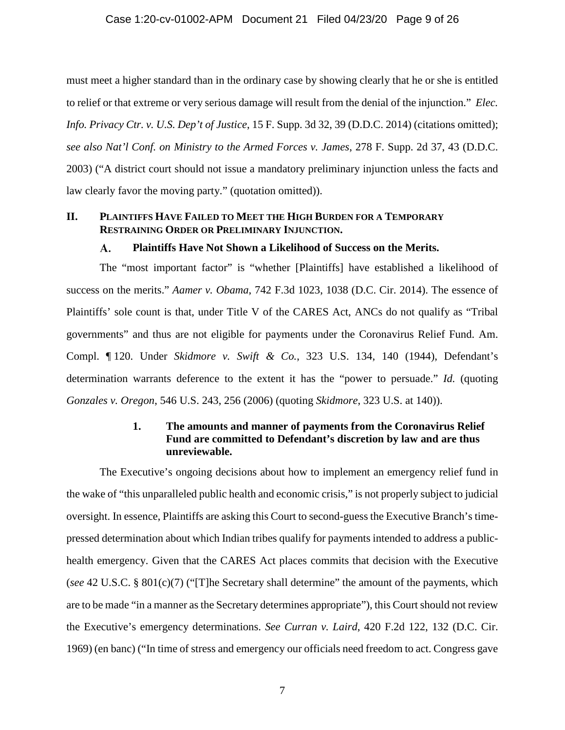must meet a higher standard than in the ordinary case by showing clearly that he or she is entitled to relief or that extreme or very serious damage will result from the denial of the injunction." *Elec. Info. Privacy Ctr. v. U.S. Dep't of Justice*, 15 F. Supp. 3d 32, 39 (D.D.C. 2014) (citations omitted); *see also Nat'l Conf. on Ministry to the Armed Forces v. James*, 278 F. Supp. 2d 37, 43 (D.D.C. 2003) ("A district court should not issue a mandatory preliminary injunction unless the facts and law clearly favor the moving party." (quotation omitted)).

## <span id="page-8-1"></span><span id="page-8-0"></span>**II. PLAINTIFFS HAVE FAILED TO MEET THE HIGH BURDEN FOR A TEMPORARY RESTRAINING ORDER OR PRELIMINARY INJUNCTION.**

#### A. **Plaintiffs Have Not Shown a Likelihood of Success on the Merits.**

The "most important factor" is "whether [Plaintiffs] have established a likelihood of success on the merits." *Aamer v. Obama*, 742 F.3d 1023, 1038 (D.C. Cir. 2014). The essence of Plaintiffs' sole count is that, under Title V of the CARES Act, ANCs do not qualify as "Tribal governments" and thus are not eligible for payments under the Coronavirus Relief Fund. Am. Compl. ¶ 120. Under *Skidmore v. Swift & Co.*, 323 U.S. 134, 140 (1944), Defendant's determination warrants deference to the extent it has the "power to persuade." *Id.* (quoting *Gonzales v. Oregon*, 546 U.S. 243, 256 (2006) (quoting *Skidmore*, 323 U.S. at 140)).

## **1. The amounts and manner of payments from the Coronavirus Relief Fund are committed to Defendant's discretion by law and are thus unreviewable.**

<span id="page-8-2"></span>The Executive's ongoing decisions about how to implement an emergency relief fund in the wake of "this unparalleled public health and economic crisis," is not properly subject to judicial oversight. In essence, Plaintiffs are asking this Court to second-guess the Executive Branch's timepressed determination about which Indian tribes qualify for payments intended to address a publichealth emergency. Given that the CARES Act places commits that decision with the Executive (*see* 42 U.S.C. § 801(c)(7) ("[T]he Secretary shall determine" the amount of the payments, which are to be made "in a manner as the Secretary determines appropriate"), this Court should not review the Executive's emergency determinations. *See Curran v. Laird*, 420 F.2d 122, 132 (D.C. Cir. 1969) (en banc) ("In time of stress and emergency our officials need freedom to act. Congress gave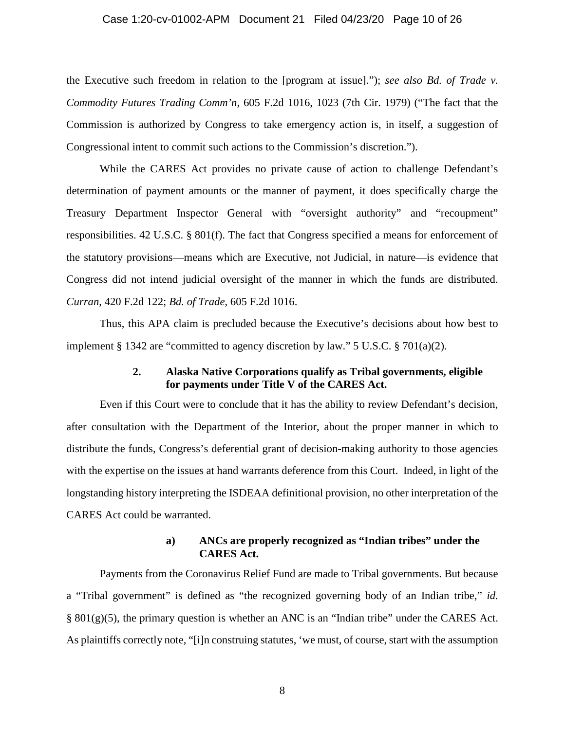#### Case 1:20-cv-01002-APM Document 21 Filed 04/23/20 Page 10 of 26

the Executive such freedom in relation to the [program at issue]."); *see also Bd. of Trade v. Commodity Futures Trading Comm'n*, 605 F.2d 1016, 1023 (7th Cir. 1979) ("The fact that the Commission is authorized by Congress to take emergency action is, in itself, a suggestion of Congressional intent to commit such actions to the Commission's discretion.").

While the CARES Act provides no private cause of action to challenge Defendant's determination of payment amounts or the manner of payment, it does specifically charge the Treasury Department Inspector General with "oversight authority" and "recoupment" responsibilities. 42 U.S.C. § 801(f). The fact that Congress specified a means for enforcement of the statutory provisions—means which are Executive, not Judicial, in nature—is evidence that Congress did not intend judicial oversight of the manner in which the funds are distributed. *Curran*, 420 F.2d 122; *Bd. of Trade*, 605 F.2d 1016.

<span id="page-9-0"></span>Thus, this APA claim is precluded because the Executive's decisions about how best to implement § 1342 are "committed to agency discretion by law." 5 U.S.C. § 701(a)(2).

## **2. Alaska Native Corporations qualify as Tribal governments, eligible for payments under Title V of the CARES Act.**

Even if this Court were to conclude that it has the ability to review Defendant's decision, after consultation with the Department of the Interior, about the proper manner in which to distribute the funds, Congress's deferential grant of decision-making authority to those agencies with the expertise on the issues at hand warrants deference from this Court. Indeed, in light of the longstanding history interpreting the ISDEAA definitional provision, no other interpretation of the CARES Act could be warranted.

## **a) ANCs are properly recognized as "Indian tribes" under the CARES Act.**

Payments from the Coronavirus Relief Fund are made to Tribal governments. But because a "Tribal government" is defined as "the recognized governing body of an Indian tribe," *id.*  § 801(g)(5), the primary question is whether an ANC is an "Indian tribe" under the CARES Act. As plaintiffs correctly note, "[i]n construing statutes, 'we must, of course, start with the assumption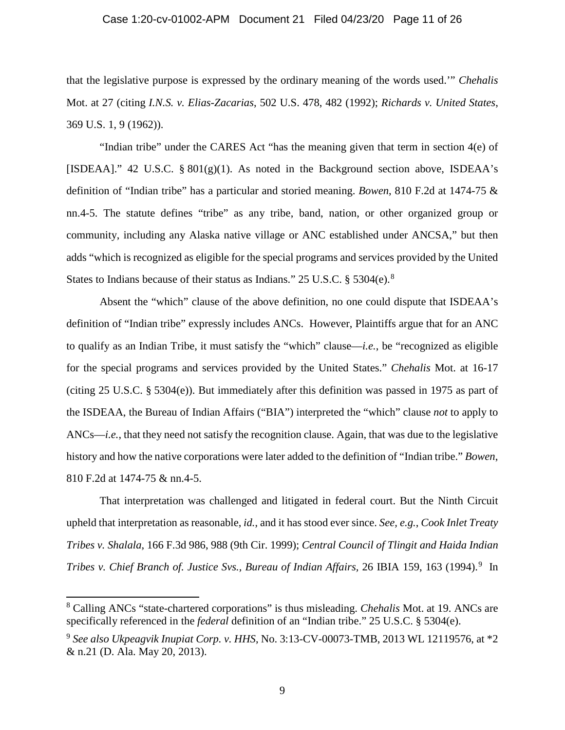#### Case 1:20-cv-01002-APM Document 21 Filed 04/23/20 Page 11 of 26

that the legislative purpose is expressed by the ordinary meaning of the words used.'" *Chehalis*  Mot. at 27 (citing *I.N.S. v. Elias-Zacarias*, 502 U.S. 478, 482 (1992); *Richards v. United States*, 369 U.S. 1, 9 (1962)).

"Indian tribe" under the CARES Act "has the meaning given that term in section 4(e) of [ISDEAA]." 42 U.S.C.  $\S 801(g)(1)$ . As noted in the Background section above, ISDEAA's definition of "Indian tribe" has a particular and storied meaning. *Bowen*, 810 F.2d at 1474-75 & nn.4-5. The statute defines "tribe" as any tribe, band, nation, or other organized group or community, including any Alaska native village or ANC established under ANCSA," but then adds "which is recognized as eligible for the special programs and services provided by the United States to Indians because of their status as Indians." 25 U.S.C. § 5304(e).<sup>[8](#page-10-0)</sup>

Absent the "which" clause of the above definition, no one could dispute that ISDEAA's definition of "Indian tribe" expressly includes ANCs. However, Plaintiffs argue that for an ANC to qualify as an Indian Tribe, it must satisfy the "which" clause—*i.e.*, be "recognized as eligible for the special programs and services provided by the United States." *Chehalis* Mot. at 16-17 (citing 25 U.S.C. § 5304(e)). But immediately after this definition was passed in 1975 as part of the ISDEAA, the Bureau of Indian Affairs ("BIA") interpreted the "which" clause *not* to apply to ANCs—*i.e.*, that they need not satisfy the recognition clause. Again, that was due to the legislative history and how the native corporations were later added to the definition of "Indian tribe." *Bowen*, 810 F.2d at 1474-75 & nn.4-5.

That interpretation was challenged and litigated in federal court. But the Ninth Circuit upheld that interpretation as reasonable, *id.*, and it has stood ever since. *See, e.g.*, *Cook Inlet Treaty Tribes v. Shalala*, 166 F.3d 986, 988 (9th Cir. 1999); *Central Council of Tlingit and Haida Indian Tribes v. Chief Branch of. Justice Svs., Bureau of Indian Affairs,* 26 IBIA 159, 163 (1994). [9](#page-10-1) In

<span id="page-10-0"></span><sup>8</sup> Calling ANCs "state-chartered corporations" is thus misleading. *Chehalis* Mot. at 19. ANCs are specifically referenced in the *federal* definition of an "Indian tribe." 25 U.S.C. § 5304(e).

<span id="page-10-1"></span><sup>9</sup> *See also Ukpeagvik Inupiat Corp. v. HHS*, No. 3:13-CV-00073-TMB, 2013 WL 12119576, at \*2 & n.21 (D. Ala. May 20, 2013).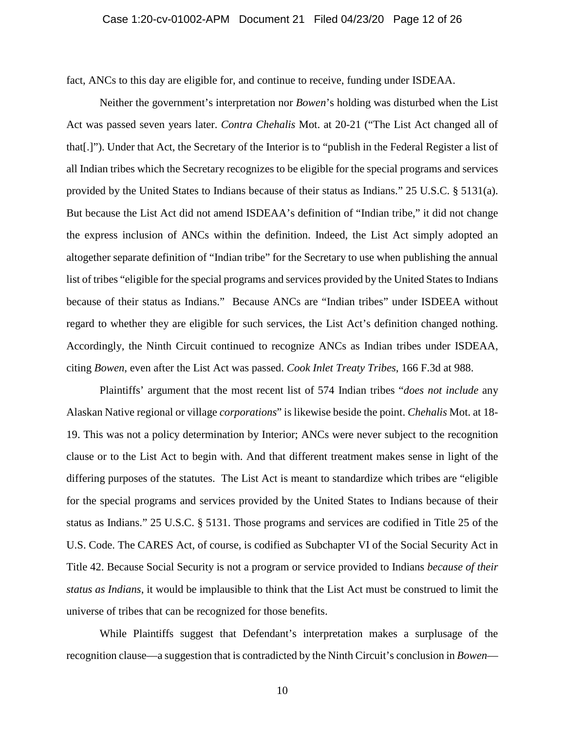fact, ANCs to this day are eligible for, and continue to receive, funding under ISDEAA.

Neither the government's interpretation nor *Bowen*'s holding was disturbed when the List Act was passed seven years later. *Contra Chehalis* Mot. at 20-21 ("The List Act changed all of that[.]"). Under that Act, the Secretary of the Interior is to "publish in the Federal Register a list of all Indian tribes which the Secretary recognizes to be eligible for the special programs and services provided by the United States to Indians because of their status as Indians." 25 U.S.C. § 5131(a). But because the List Act did not amend ISDEAA's definition of "Indian tribe," it did not change the express inclusion of ANCs within the definition. Indeed, the List Act simply adopted an altogether separate definition of "Indian tribe" for the Secretary to use when publishing the annual list of tribes "eligible for the special programs and services provided by the United States to Indians because of their status as Indians." Because ANCs are "Indian tribes" under ISDEEA without regard to whether they are eligible for such services, the List Act's definition changed nothing. Accordingly, the Ninth Circuit continued to recognize ANCs as Indian tribes under ISDEAA, citing *Bowen*, even after the List Act was passed. *Cook Inlet Treaty Tribes*, 166 F.3d at 988.

Plaintiffs' argument that the most recent list of 574 Indian tribes "*does not include* any Alaskan Native regional or village *corporations*" is likewise beside the point. *Chehalis* Mot. at 18- 19. This was not a policy determination by Interior; ANCs were never subject to the recognition clause or to the List Act to begin with. And that different treatment makes sense in light of the differing purposes of the statutes. The List Act is meant to standardize which tribes are "eligible for the special programs and services provided by the United States to Indians because of their status as Indians." 25 U.S.C. § 5131. Those programs and services are codified in Title 25 of the U.S. Code. The CARES Act, of course, is codified as Subchapter VI of the Social Security Act in Title 42. Because Social Security is not a program or service provided to Indians *because of their status as Indians*, it would be implausible to think that the List Act must be construed to limit the universe of tribes that can be recognized for those benefits.

While Plaintiffs suggest that Defendant's interpretation makes a surplusage of the recognition clause—a suggestion that is contradicted by the Ninth Circuit's conclusion in *Bowen*—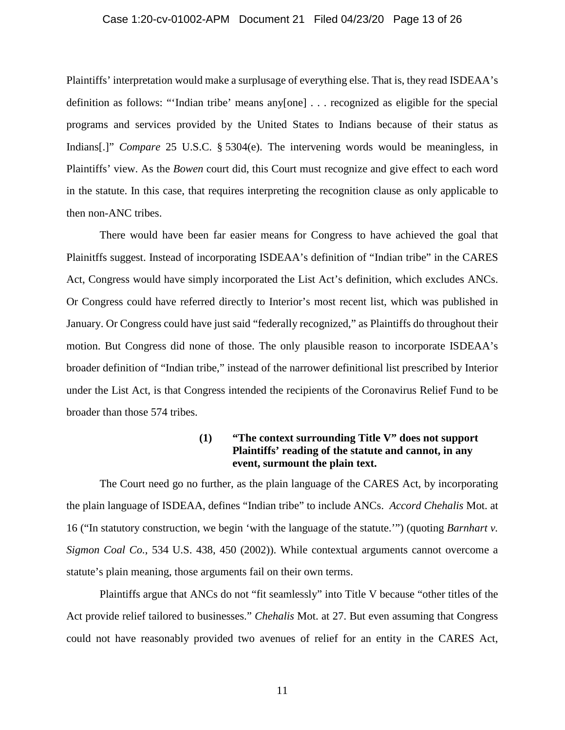#### Case 1:20-cv-01002-APM Document 21 Filed 04/23/20 Page 13 of 26

Plaintiffs' interpretation would make a surplusage of everything else. That is, they read ISDEAA's definition as follows: "'Indian tribe' means any[one] . . . recognized as eligible for the special programs and services provided by the United States to Indians because of their status as Indians[.]" *Compare* 25 U.S.C. § 5304(e). The intervening words would be meaningless, in Plaintiffs' view. As the *Bowen* court did, this Court must recognize and give effect to each word in the statute. In this case, that requires interpreting the recognition clause as only applicable to then non-ANC tribes.

There would have been far easier means for Congress to have achieved the goal that Plainitffs suggest. Instead of incorporating ISDEAA's definition of "Indian tribe" in the CARES Act, Congress would have simply incorporated the List Act's definition, which excludes ANCs. Or Congress could have referred directly to Interior's most recent list, which was published in January. Or Congress could have just said "federally recognized," as Plaintiffs do throughout their motion. But Congress did none of those. The only plausible reason to incorporate ISDEAA's broader definition of "Indian tribe," instead of the narrower definitional list prescribed by Interior under the List Act, is that Congress intended the recipients of the Coronavirus Relief Fund to be broader than those 574 tribes.

## **(1) "The context surrounding Title V" does not support Plaintiffs' reading of the statute and cannot, in any event, surmount the plain text.**

The Court need go no further, as the plain language of the CARES Act, by incorporating the plain language of ISDEAA, defines "Indian tribe" to include ANCs. *Accord Chehalis* Mot. at 16 ("In statutory construction, we begin 'with the language of the statute.'") (quoting *Barnhart v. Sigmon Coal Co.*, 534 U.S. 438, 450 (2002)). While contextual arguments cannot overcome a statute's plain meaning, those arguments fail on their own terms.

Plaintiffs argue that ANCs do not "fit seamlessly" into Title V because "other titles of the Act provide relief tailored to businesses." *Chehalis* Mot. at 27. But even assuming that Congress could not have reasonably provided two avenues of relief for an entity in the CARES Act,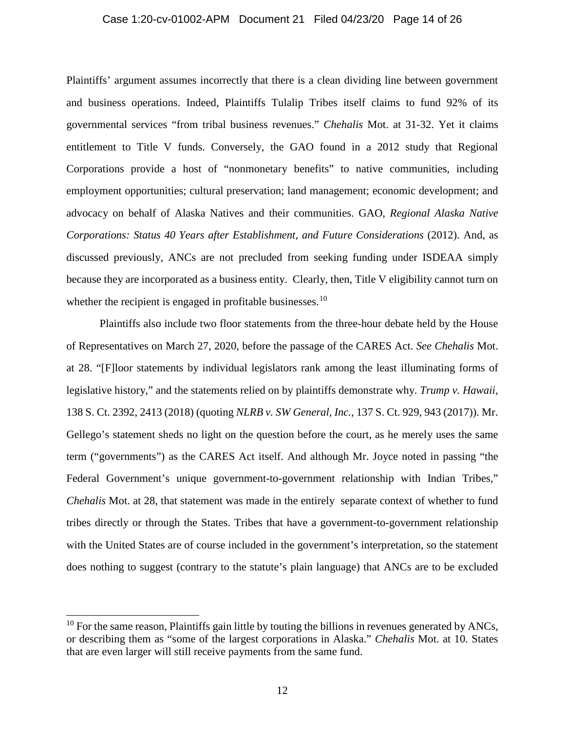#### Case 1:20-cv-01002-APM Document 21 Filed 04/23/20 Page 14 of 26

Plaintiffs' argument assumes incorrectly that there is a clean dividing line between government and business operations. Indeed, Plaintiffs Tulalip Tribes itself claims to fund 92% of its governmental services "from tribal business revenues." *Chehalis* Mot. at 31-32. Yet it claims entitlement to Title V funds. Conversely, the GAO found in a 2012 study that Regional Corporations provide a host of "nonmonetary benefits" to native communities, including employment opportunities; cultural preservation; land management; economic development; and advocacy on behalf of Alaska Natives and their communities. GAO, *Regional Alaska Native Corporations: Status 40 Years after Establishment, and Future Considerations* (2012). And, as discussed previously, ANCs are not precluded from seeking funding under ISDEAA simply because they are incorporated as a business entity. Clearly, then, Title V eligibility cannot turn on whether the recipient is engaged in profitable businesses.<sup>[10](#page-13-0)</sup>

Plaintiffs also include two floor statements from the three-hour debate held by the House of Representatives on March 27, 2020, before the passage of the CARES Act. *See Chehalis* Mot. at 28. "[F]loor statements by individual legislators rank among the least illuminating forms of legislative history," and the statements relied on by plaintiffs demonstrate why. *Trump v. Hawaii*, 138 S. Ct. 2392, 2413 (2018) (quoting *NLRB v. SW General, Inc.*, 137 S. Ct. 929, 943 (2017)). Mr. Gellego's statement sheds no light on the question before the court, as he merely uses the same term ("governments") as the CARES Act itself. And although Mr. Joyce noted in passing "the Federal Government's unique government-to-government relationship with Indian Tribes," *Chehalis* Mot. at 28, that statement was made in the entirely separate context of whether to fund tribes directly or through the States. Tribes that have a government-to-government relationship with the United States are of course included in the government's interpretation, so the statement does nothing to suggest (contrary to the statute's plain language) that ANCs are to be excluded

<span id="page-13-0"></span> $10$  For the same reason, Plaintiffs gain little by touting the billions in revenues generated by ANCs, or describing them as "some of the largest corporations in Alaska." *Chehalis* Mot. at 10. States that are even larger will still receive payments from the same fund.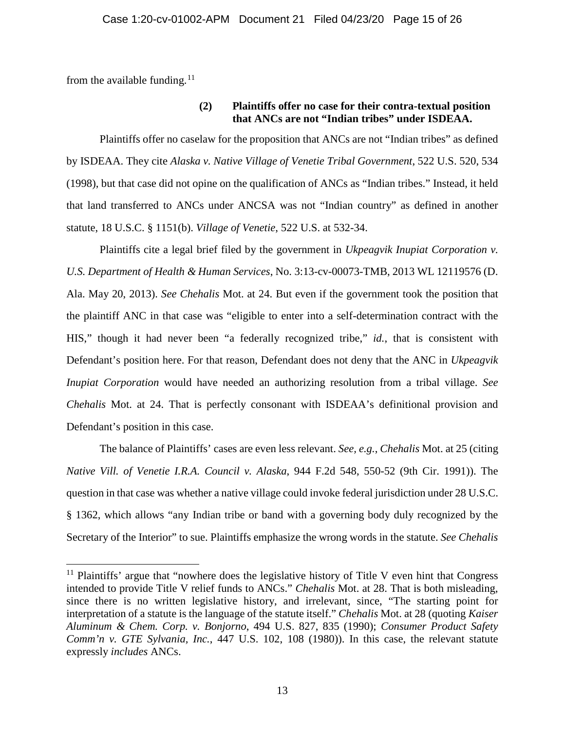from the available funding.<sup>[11](#page-14-0)</sup>

## **(2) Plaintiffs offer no case for their contra-textual position that ANCs are not "Indian tribes" under ISDEAA.**

Plaintiffs offer no caselaw for the proposition that ANCs are not "Indian tribes" as defined by ISDEAA. They cite *Alaska v. Native Village of Venetie Tribal Government*, 522 U.S. 520, 534 (1998), but that case did not opine on the qualification of ANCs as "Indian tribes." Instead, it held that land transferred to ANCs under ANCSA was not "Indian country" as defined in another statute, 18 U.S.C. § 1151(b). *Village of Venetie*, 522 U.S. at 532-34.

Plaintiffs cite a legal brief filed by the government in *Ukpeagvik Inupiat Corporation v. U.S. Department of Health & Human Services*, No. 3:13-cv-00073-TMB, 2013 WL 12119576 (D. Ala. May 20, 2013). *See Chehalis* Mot. at 24. But even if the government took the position that the plaintiff ANC in that case was "eligible to enter into a self-determination contract with the HIS," though it had never been "a federally recognized tribe," *id.*, that is consistent with Defendant's position here. For that reason, Defendant does not deny that the ANC in *Ukpeagvik Inupiat Corporation* would have needed an authorizing resolution from a tribal village. *See Chehalis* Mot. at 24. That is perfectly consonant with ISDEAA's definitional provision and Defendant's position in this case.

The balance of Plaintiffs' cases are even less relevant. *See, e.g.*, *Chehalis* Mot. at 25 (citing *Native Vill. of Venetie I.R.A. Council v. Alaska*, 944 F.2d 548, 550-52 (9th Cir. 1991)). The question in that case was whether a native village could invoke federal jurisdiction under 28 U.S.C. § 1362, which allows "any Indian tribe or band with a governing body duly recognized by the Secretary of the Interior" to sue. Plaintiffs emphasize the wrong words in the statute. *See Chehalis* 

<span id="page-14-0"></span><sup>&</sup>lt;sup>11</sup> Plaintiffs' argue that "nowhere does the legislative history of Title V even hint that Congress intended to provide Title V relief funds to ANCs." *Chehalis* Mot. at 28. That is both misleading, since there is no written legislative history, and irrelevant, since, "The starting point for interpretation of a statute is the language of the statute itself." *Chehalis* Mot. at 28 (quoting *Kaiser Aluminum & Chem. Corp. v. Bonjorno*, 494 U.S. 827, 835 (1990); *Consumer Product Safety Comm'n v. GTE Sylvania, Inc.*, 447 U.S. 102, 108 (1980)). In this case, the relevant statute expressly *includes* ANCs.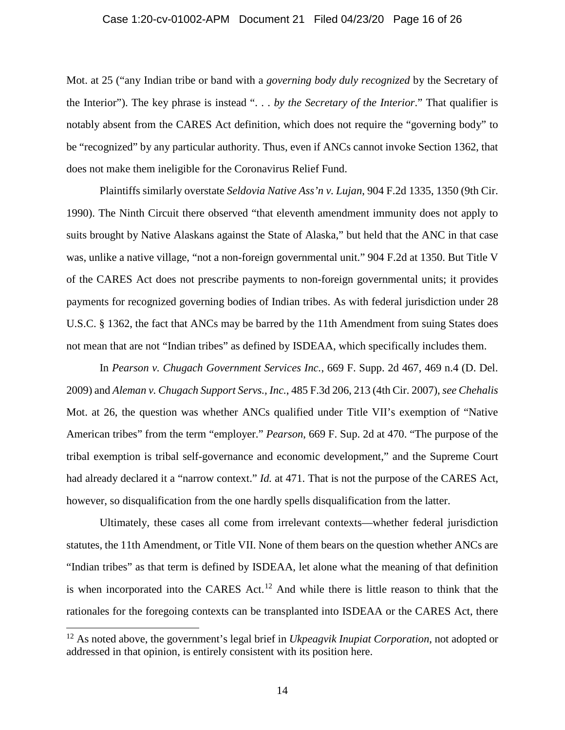#### Case 1:20-cv-01002-APM Document 21 Filed 04/23/20 Page 16 of 26

Mot. at 25 ("any Indian tribe or band with a *governing body duly recognized* by the Secretary of the Interior"). The key phrase is instead ". . . *by the Secretary of the Interior*." That qualifier is notably absent from the CARES Act definition, which does not require the "governing body" to be "recognized" by any particular authority. Thus, even if ANCs cannot invoke Section 1362, that does not make them ineligible for the Coronavirus Relief Fund.

Plaintiffs similarly overstate *Seldovia Native Ass'n v. Lujan*, 904 F.2d 1335, 1350 (9th Cir. 1990). The Ninth Circuit there observed "that eleventh amendment immunity does not apply to suits brought by Native Alaskans against the State of Alaska," but held that the ANC in that case was, unlike a native village, "not a non-foreign governmental unit." 904 F.2d at 1350. But Title V of the CARES Act does not prescribe payments to non-foreign governmental units; it provides payments for recognized governing bodies of Indian tribes. As with federal jurisdiction under 28 U.S.C. § 1362, the fact that ANCs may be barred by the 11th Amendment from suing States does not mean that are not "Indian tribes" as defined by ISDEAA, which specifically includes them.

In *Pearson v. Chugach Government Services Inc.*, 669 F. Supp. 2d 467, 469 n.4 (D. Del. 2009) and *Aleman v. Chugach Support Servs., Inc.*, 485 F.3d 206, 213 (4th Cir. 2007), *see Chehalis*  Mot. at 26, the question was whether ANCs qualified under Title VII's exemption of "Native American tribes" from the term "employer." *Pearson*, 669 F. Sup. 2d at 470. "The purpose of the tribal exemption is tribal self-governance and economic development," and the Supreme Court had already declared it a "narrow context." *Id.* at 471. That is not the purpose of the CARES Act, however, so disqualification from the one hardly spells disqualification from the latter.

Ultimately, these cases all come from irrelevant contexts—whether federal jurisdiction statutes, the 11th Amendment, or Title VII. None of them bears on the question whether ANCs are "Indian tribes" as that term is defined by ISDEAA, let alone what the meaning of that definition is when incorporated into the CARES Act.<sup>[12](#page-15-0)</sup> And while there is little reason to think that the rationales for the foregoing contexts can be transplanted into ISDEAA or the CARES Act, there

<span id="page-15-0"></span><sup>12</sup> As noted above, the government's legal brief in *Ukpeagvik Inupiat Corporation*, not adopted or addressed in that opinion, is entirely consistent with its position here.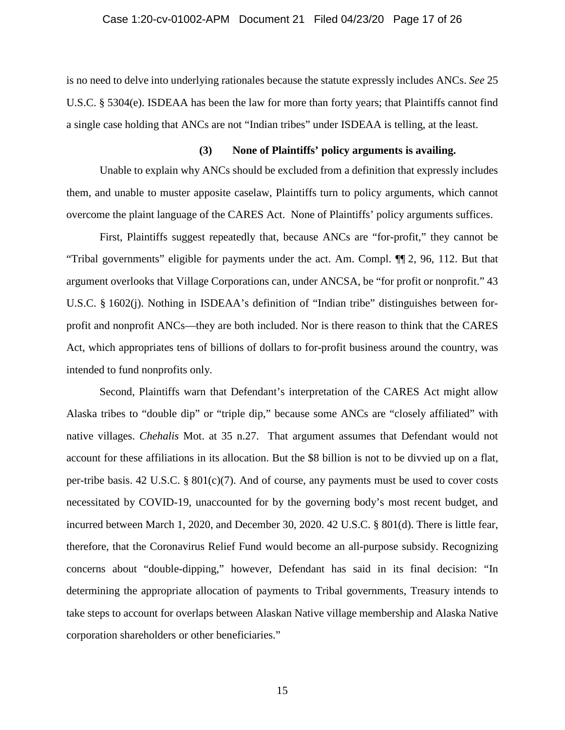is no need to delve into underlying rationales because the statute expressly includes ANCs. *See* 25 U.S.C. § 5304(e). ISDEAA has been the law for more than forty years; that Plaintiffs cannot find a single case holding that ANCs are not "Indian tribes" under ISDEAA is telling, at the least.

### **(3) None of Plaintiffs' policy arguments is availing.**

Unable to explain why ANCs should be excluded from a definition that expressly includes them, and unable to muster apposite caselaw, Plaintiffs turn to policy arguments, which cannot overcome the plaint language of the CARES Act. None of Plaintiffs' policy arguments suffices.

First, Plaintiffs suggest repeatedly that, because ANCs are "for-profit," they cannot be "Tribal governments" eligible for payments under the act. Am. Compl. ¶¶ 2, 96, 112. But that argument overlooks that Village Corporations can, under ANCSA, be "for profit or nonprofit." 43 U.S.C. § 1602(j). Nothing in ISDEAA's definition of "Indian tribe" distinguishes between forprofit and nonprofit ANCs—they are both included. Nor is there reason to think that the CARES Act, which appropriates tens of billions of dollars to for-profit business around the country, was intended to fund nonprofits only.

Second, Plaintiffs warn that Defendant's interpretation of the CARES Act might allow Alaska tribes to "double dip" or "triple dip," because some ANCs are "closely affiliated" with native villages. *Chehalis* Mot. at 35 n.27. That argument assumes that Defendant would not account for these affiliations in its allocation. But the \$8 billion is not to be divvied up on a flat, per-tribe basis. 42 U.S.C. § 801(c)(7). And of course, any payments must be used to cover costs necessitated by COVID-19, unaccounted for by the governing body's most recent budget, and incurred between March 1, 2020, and December 30, 2020. 42 U.S.C. § 801(d). There is little fear, therefore, that the Coronavirus Relief Fund would become an all-purpose subsidy. Recognizing concerns about "double-dipping," however, Defendant has said in its final decision: "In determining the appropriate allocation of payments to Tribal governments, Treasury intends to take steps to account for overlaps between Alaskan Native village membership and Alaska Native corporation shareholders or other beneficiaries."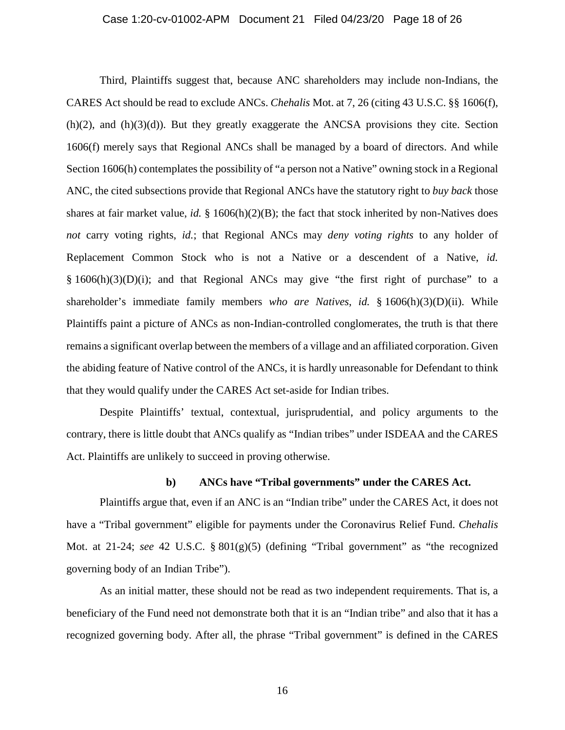#### Case 1:20-cv-01002-APM Document 21 Filed 04/23/20 Page 18 of 26

Third, Plaintiffs suggest that, because ANC shareholders may include non-Indians, the CARES Act should be read to exclude ANCs. *Chehalis* Mot. at 7, 26 (citing 43 U.S.C. §§ 1606(f),  $(h)(2)$ , and  $(h)(3)(d)$ ). But they greatly exaggerate the ANCSA provisions they cite. Section 1606(f) merely says that Regional ANCs shall be managed by a board of directors. And while Section 1606(h) contemplates the possibility of "a person not a Native" owning stock in a Regional ANC, the cited subsections provide that Regional ANCs have the statutory right to *buy back* those shares at fair market value, *id.* § 1606(h)(2)(B); the fact that stock inherited by non-Natives does *not* carry voting rights, *id.*; that Regional ANCs may *deny voting rights* to any holder of Replacement Common Stock who is not a Native or a descendent of a Native, *id.*   $§ 1606(h)(3)(D)(i);$  and that Regional ANCs may give "the first right of purchase" to a shareholder's immediate family members *who are Natives*, *id.* § 1606(h)(3)(D)(ii). While Plaintiffs paint a picture of ANCs as non-Indian-controlled conglomerates, the truth is that there remains a significant overlap between the members of a village and an affiliated corporation. Given the abiding feature of Native control of the ANCs, it is hardly unreasonable for Defendant to think that they would qualify under the CARES Act set-aside for Indian tribes.

Despite Plaintiffs' textual, contextual, jurisprudential, and policy arguments to the contrary, there is little doubt that ANCs qualify as "Indian tribes" under ISDEAA and the CARES Act. Plaintiffs are unlikely to succeed in proving otherwise.

## **b) ANCs have "Tribal governments" under the CARES Act.**

Plaintiffs argue that, even if an ANC is an "Indian tribe" under the CARES Act, it does not have a "Tribal government" eligible for payments under the Coronavirus Relief Fund. *Chehalis*  Mot. at 21-24; *see* 42 U.S.C. § 801(g)(5) (defining "Tribal government" as "the recognized governing body of an Indian Tribe").

As an initial matter, these should not be read as two independent requirements. That is, a beneficiary of the Fund need not demonstrate both that it is an "Indian tribe" and also that it has a recognized governing body. After all, the phrase "Tribal government" is defined in the CARES

16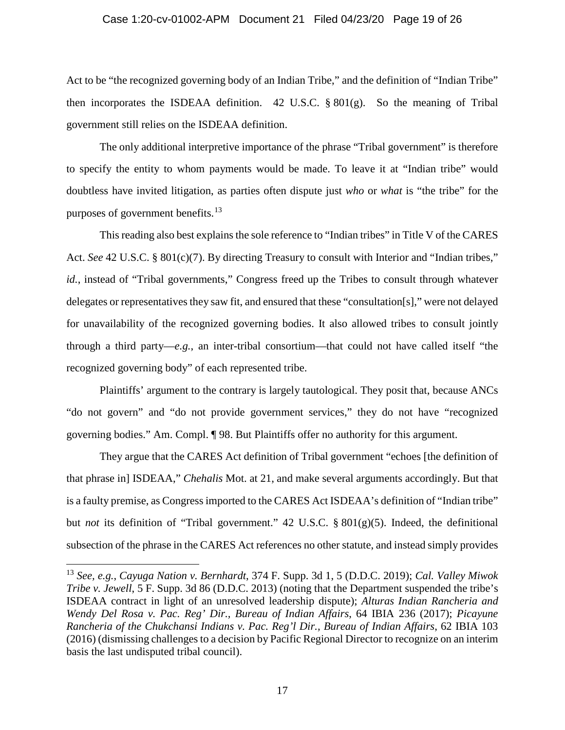### Case 1:20-cv-01002-APM Document 21 Filed 04/23/20 Page 19 of 26

Act to be "the recognized governing body of an Indian Tribe," and the definition of "Indian Tribe" then incorporates the ISDEAA definition. 42 U.S.C. § 801(g). So the meaning of Tribal government still relies on the ISDEAA definition.

The only additional interpretive importance of the phrase "Tribal government" is therefore to specify the entity to whom payments would be made. To leave it at "Indian tribe" would doubtless have invited litigation, as parties often dispute just *who* or *what* is "the tribe" for the purposes of government benefits.<sup>[13](#page-18-0)</sup>

This reading also best explains the sole reference to "Indian tribes" in Title V of the CARES Act. *See* 42 U.S.C. § 801(c)(7). By directing Treasury to consult with Interior and "Indian tribes," *id.*, instead of "Tribal governments," Congress freed up the Tribes to consult through whatever delegates or representatives they saw fit, and ensured that these "consultation[s]," were not delayed for unavailability of the recognized governing bodies. It also allowed tribes to consult jointly through a third party—*e.g.*, an inter-tribal consortium—that could not have called itself "the recognized governing body" of each represented tribe.

Plaintiffs' argument to the contrary is largely tautological. They posit that, because ANCs "do not govern" and "do not provide government services," they do not have "recognized governing bodies." Am. Compl. ¶ 98. But Plaintiffs offer no authority for this argument.

They argue that the CARES Act definition of Tribal government "echoes [the definition of that phrase in] ISDEAA," *Chehalis* Mot. at 21, and make several arguments accordingly. But that is a faulty premise, as Congress imported to the CARES Act ISDEAA's definition of "Indian tribe" but *not* its definition of "Tribal government." 42 U.S.C. § 801(g)(5). Indeed, the definitional subsection of the phrase in the CARES Act references no other statute, and instead simply provides

<span id="page-18-0"></span><sup>13</sup> *See, e.g.*, *Cayuga Nation v. Bernhardt*, 374 F. Supp. 3d 1, 5 (D.D.C. 2019); *Cal. Valley Miwok Tribe v. Jewell*, 5 F. Supp. 3d 86 (D.D.C. 2013) (noting that the Department suspended the tribe's ISDEAA contract in light of an unresolved leadership dispute); *Alturas Indian Rancheria and Wendy Del Rosa v. Pac. Reg' Dir., Bureau of Indian Affairs*, 64 IBIA 236 (2017); *Picayune Rancheria of the Chukchansi Indians v. Pac. Reg'l Dir., Bureau of Indian Affairs*, 62 IBIA 103 (2016) (dismissing challenges to a decision by Pacific Regional Director to recognize on an interim basis the last undisputed tribal council).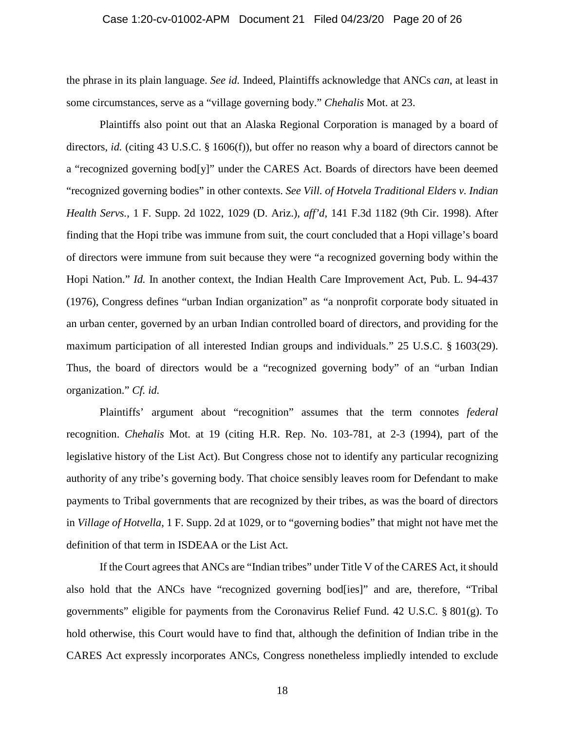#### Case 1:20-cv-01002-APM Document 21 Filed 04/23/20 Page 20 of 26

the phrase in its plain language. *See id.* Indeed, Plaintiffs acknowledge that ANCs *can*, at least in some circumstances, serve as a "village governing body." *Chehalis* Mot. at 23.

Plaintiffs also point out that an Alaska Regional Corporation is managed by a board of directors, *id.* (citing 43 U.S.C. § 1606(f)), but offer no reason why a board of directors cannot be a "recognized governing bod[y]" under the CARES Act. Boards of directors have been deemed "recognized governing bodies" in other contexts. *See Vill. of Hotvela Traditional Elders v. Indian Health Servs.*, 1 F. Supp. 2d 1022, 1029 (D. Ariz.), *aff'd*, 141 F.3d 1182 (9th Cir. 1998). After finding that the Hopi tribe was immune from suit, the court concluded that a Hopi village's board of directors were immune from suit because they were "a recognized governing body within the Hopi Nation." *Id.* In another context, the Indian Health Care Improvement Act, Pub. L. 94-437 (1976), Congress defines "urban Indian organization" as "a nonprofit corporate body situated in an urban center, governed by an urban Indian controlled board of directors, and providing for the maximum participation of all interested Indian groups and individuals." 25 U.S.C. § 1603(29). Thus, the board of directors would be a "recognized governing body" of an "urban Indian organization." *Cf. id.*

Plaintiffs' argument about "recognition" assumes that the term connotes *federal* recognition. *Chehalis* Mot. at 19 (citing H.R. Rep. No. 103-781, at 2-3 (1994), part of the legislative history of the List Act). But Congress chose not to identify any particular recognizing authority of any tribe's governing body. That choice sensibly leaves room for Defendant to make payments to Tribal governments that are recognized by their tribes, as was the board of directors in *Village of Hotvella*, 1 F. Supp. 2d at 1029, or to "governing bodies" that might not have met the definition of that term in ISDEAA or the List Act.

If the Court agrees that ANCs are "Indian tribes" under Title V of the CARES Act, it should also hold that the ANCs have "recognized governing bod[ies]" and are, therefore, "Tribal governments" eligible for payments from the Coronavirus Relief Fund. 42 U.S.C. § 801(g). To hold otherwise, this Court would have to find that, although the definition of Indian tribe in the CARES Act expressly incorporates ANCs, Congress nonetheless impliedly intended to exclude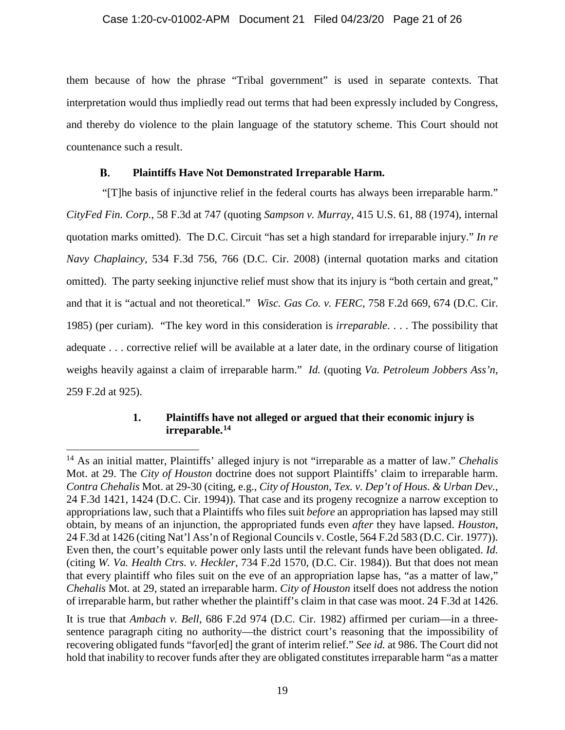them because of how the phrase "Tribal government" is used in separate contexts. That interpretation would thus impliedly read out terms that had been expressly included by Congress, and thereby do violence to the plain language of the statutory scheme. This Court should not countenance such a result.

#### В. **Plaintiffs Have Not Demonstrated Irreparable Harm.**

<span id="page-20-0"></span>"[T]he basis of injunctive relief in the federal courts has always been irreparable harm." *CityFed Fin. Corp.*, 58 F.3d at 747 (quoting *Sampson v. Murray*, 415 U.S. 61, 88 (1974), internal quotation marks omitted). The D.C. Circuit "has set a high standard for irreparable injury." *In re Navy Chaplaincy*, 534 F.3d 756, 766 (D.C. Cir. 2008) (internal quotation marks and citation omitted). The party seeking injunctive relief must show that its injury is "both certain and great," and that it is "actual and not theoretical." *Wisc. Gas Co. v. FERC*, 758 F.2d 669, 674 (D.C. Cir. 1985) (per curiam). "The key word in this consideration is *irreparable*. . . . The possibility that adequate . . . corrective relief will be available at a later date, in the ordinary course of litigation weighs heavily against a claim of irreparable harm." *Id.* (quoting *Va. Petroleum Jobbers Ass'n*, 259 F.2d at 925).

## **1. Plaintiffs have not alleged or argued that their economic injury is irreparable.[14](#page-20-2)**

<span id="page-20-2"></span><span id="page-20-1"></span><sup>14</sup> As an initial matter, Plaintiffs' alleged injury is not "irreparable as a matter of law." *Chehalis*  Mot. at 29. The *City of Houston* doctrine does not support Plaintiffs' claim to irreparable harm. *Contra Chehalis* Mot. at 29-30 (citing, e.g., *City of Houston, Tex. v. Dep't of Hous. & Urban Dev.*, 24 F.3d 1421, 1424 (D.C. Cir. 1994)). That case and its progeny recognize a narrow exception to appropriations law, such that a Plaintiffs who files suit *before* an appropriation has lapsed may still obtain, by means of an injunction, the appropriated funds even *after* they have lapsed. *Houston*, 24 F.3d at 1426 (citing Nat'l Ass'n of Regional Councils v. Costle, 564 F.2d 583 (D.C. Cir. 1977)). Even then, the court's equitable power only lasts until the relevant funds have been obligated. *Id.*  (citing *W. Va. Health Ctrs. v. Heckler*, 734 F.2d 1570, (D.C. Cir. 1984)). But that does not mean that every plaintiff who files suit on the eve of an appropriation lapse has, "as a matter of law," *Chehalis* Mot. at 29, stated an irreparable harm. *City of Houston* itself does not address the notion of irreparable harm, but rather whether the plaintiff's claim in that case was moot. 24 F.3d at 1426.

It is true that *Ambach v. Bell*, 686 F.2d 974 (D.C. Cir. 1982) affirmed per curiam—in a threesentence paragraph citing no authority—the district court's reasoning that the impossibility of recovering obligated funds "favor[ed] the grant of interim relief." *See id.* at 986. The Court did not hold that inability to recover funds after they are obligated constitutes irreparable harm "as a matter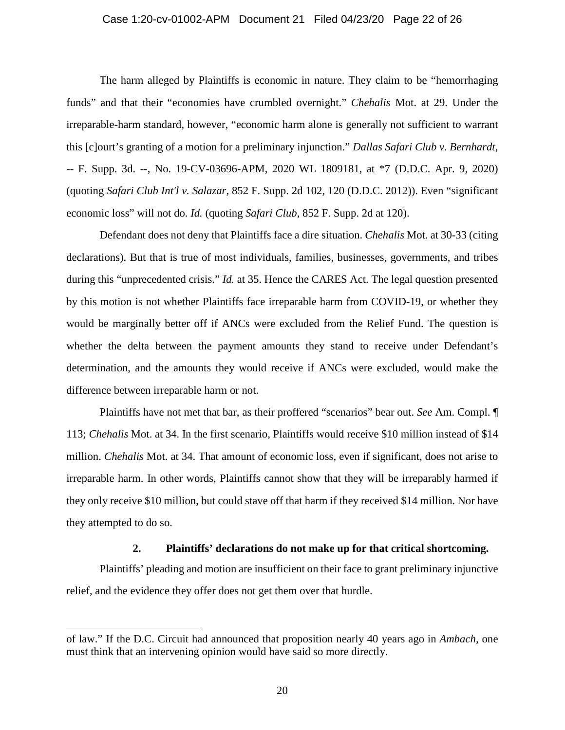#### Case 1:20-cv-01002-APM Document 21 Filed 04/23/20 Page 22 of 26

The harm alleged by Plaintiffs is economic in nature. They claim to be "hemorrhaging funds" and that their "economies have crumbled overnight." *Chehalis* Mot. at 29. Under the irreparable-harm standard, however, "economic harm alone is generally not sufficient to warrant this [c]ourt's granting of a motion for a preliminary injunction." *Dallas Safari Club v. Bernhardt*, -- F. Supp. 3d. --, No. 19-CV-03696-APM, 2020 WL 1809181, at \*7 (D.D.C. Apr. 9, 2020) (quoting *Safari Club Int'l v. Salazar*, 852 F. Supp. 2d 102, 120 (D.D.C. 2012)). Even "significant economic loss" will not do. *Id.* (quoting *Safari Club*, 852 F. Supp. 2d at 120).

Defendant does not deny that Plaintiffs face a dire situation. *Chehalis* Mot. at 30-33 (citing declarations). But that is true of most individuals, families, businesses, governments, and tribes during this "unprecedented crisis." *Id.* at 35. Hence the CARES Act. The legal question presented by this motion is not whether Plaintiffs face irreparable harm from COVID-19, or whether they would be marginally better off if ANCs were excluded from the Relief Fund. The question is whether the delta between the payment amounts they stand to receive under Defendant's determination, and the amounts they would receive if ANCs were excluded, would make the difference between irreparable harm or not.

Plaintiffs have not met that bar, as their proffered "scenarios" bear out. *See* Am. Compl. ¶ 113; *Chehalis* Mot. at 34. In the first scenario, Plaintiffs would receive \$10 million instead of \$14 million. *Chehalis* Mot. at 34. That amount of economic loss, even if significant, does not arise to irreparable harm. In other words, Plaintiffs cannot show that they will be irreparably harmed if they only receive \$10 million, but could stave off that harm if they received \$14 million. Nor have they attempted to do so.

## **2. Plaintiffs' declarations do not make up for that critical shortcoming.**

<span id="page-21-0"></span>Plaintiffs' pleading and motion are insufficient on their face to grant preliminary injunctive relief, and the evidence they offer does not get them over that hurdle.

 $\ddot{\phantom{a}}$ 

of law." If the D.C. Circuit had announced that proposition nearly 40 years ago in *Ambach*, one must think that an intervening opinion would have said so more directly.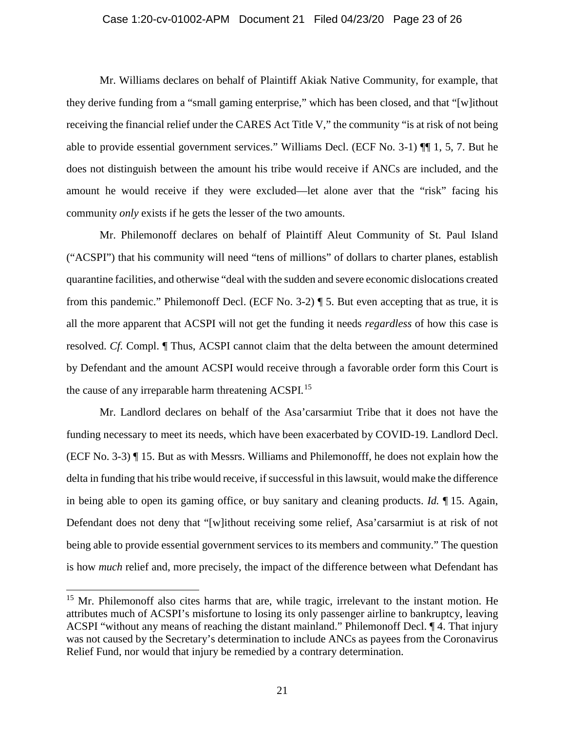#### Case 1:20-cv-01002-APM Document 21 Filed 04/23/20 Page 23 of 26

Mr. Williams declares on behalf of Plaintiff Akiak Native Community, for example, that they derive funding from a "small gaming enterprise," which has been closed, and that "[w]ithout receiving the financial relief under the CARES Act Title V," the community "is at risk of not being able to provide essential government services." Williams Decl. (ECF No. 3-1) ¶¶ 1, 5, 7. But he does not distinguish between the amount his tribe would receive if ANCs are included, and the amount he would receive if they were excluded—let alone aver that the "risk" facing his community *only* exists if he gets the lesser of the two amounts.

Mr. Philemonoff declares on behalf of Plaintiff Aleut Community of St. Paul Island ("ACSPI") that his community will need "tens of millions" of dollars to charter planes, establish quarantine facilities, and otherwise "deal with the sudden and severe economic dislocations created from this pandemic." Philemonoff Decl. (ECF No. 3-2) ¶ 5. But even accepting that as true, it is all the more apparent that ACSPI will not get the funding it needs *regardless* of how this case is resolved. *Cf.* Compl. ¶ Thus, ACSPI cannot claim that the delta between the amount determined by Defendant and the amount ACSPI would receive through a favorable order form this Court is the cause of any irreparable harm threatening ACSPI.<sup>[15](#page-22-0)</sup>

Mr. Landlord declares on behalf of the Asa'carsarmiut Tribe that it does not have the funding necessary to meet its needs, which have been exacerbated by COVID-19. Landlord Decl. (ECF No. 3-3) ¶ 15. But as with Messrs. Williams and Philemonofff, he does not explain how the delta in funding that his tribe would receive, if successful in this lawsuit, would make the difference in being able to open its gaming office, or buy sanitary and cleaning products. *Id.* ¶ 15. Again, Defendant does not deny that "[w]ithout receiving some relief, Asa'carsarmiut is at risk of not being able to provide essential government services to its members and community." The question is how *much* relief and, more precisely, the impact of the difference between what Defendant has

<span id="page-22-0"></span><sup>&</sup>lt;sup>15</sup> Mr. Philemonoff also cites harms that are, while tragic, irrelevant to the instant motion. He attributes much of ACSPI's misfortune to losing its only passenger airline to bankruptcy, leaving ACSPI "without any means of reaching the distant mainland." Philemonoff Decl. ¶ 4. That injury was not caused by the Secretary's determination to include ANCs as payees from the Coronavirus Relief Fund, nor would that injury be remedied by a contrary determination.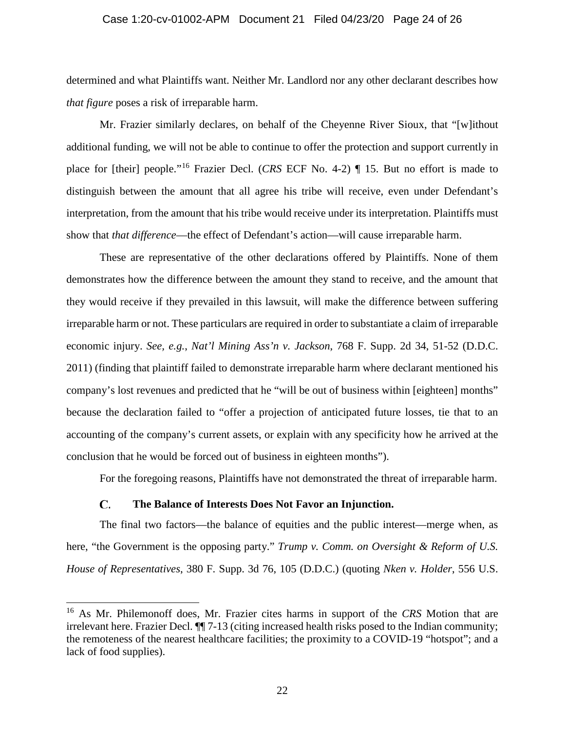#### Case 1:20-cv-01002-APM Document 21 Filed 04/23/20 Page 24 of 26

determined and what Plaintiffs want. Neither Mr. Landlord nor any other declarant describes how *that figure* poses a risk of irreparable harm.

Mr. Frazier similarly declares, on behalf of the Cheyenne River Sioux, that "[w]ithout additional funding, we will not be able to continue to offer the protection and support currently in place for [their] people."[16](#page-23-1) Frazier Decl. (*CRS* ECF No. 4-2) ¶ 15. But no effort is made to distinguish between the amount that all agree his tribe will receive, even under Defendant's interpretation, from the amount that his tribe would receive under its interpretation. Plaintiffs must show that *that difference*—the effect of Defendant's action—will cause irreparable harm.

These are representative of the other declarations offered by Plaintiffs. None of them demonstrates how the difference between the amount they stand to receive, and the amount that they would receive if they prevailed in this lawsuit, will make the difference between suffering irreparable harm or not. These particulars are required in order to substantiate a claim of irreparable economic injury. *See, e.g.*, *Nat'l Mining Ass'n v. Jackson*, 768 F. Supp. 2d 34, 51-52 (D.D.C. 2011) (finding that plaintiff failed to demonstrate irreparable harm where declarant mentioned his company's lost revenues and predicted that he "will be out of business within [eighteen] months" because the declaration failed to "offer a projection of anticipated future losses, tie that to an accounting of the company's current assets, or explain with any specificity how he arrived at the conclusion that he would be forced out of business in eighteen months").

For the foregoing reasons, Plaintiffs have not demonstrated the threat of irreparable harm.

#### $\mathbf{C}$ . **The Balance of Interests Does Not Favor an Injunction.**

<span id="page-23-0"></span>The final two factors—the balance of equities and the public interest—merge when, as here, "the Government is the opposing party." *Trump v. Comm. on Oversight & Reform of U.S. House of Representatives*, 380 F. Supp. 3d 76, 105 (D.D.C.) (quoting *Nken v. Holder*, 556 U.S.

<span id="page-23-1"></span><sup>16</sup> As Mr. Philemonoff does, Mr. Frazier cites harms in support of the *CRS* Motion that are irrelevant here. Frazier Decl. ¶¶ 7-13 (citing increased health risks posed to the Indian community; the remoteness of the nearest healthcare facilities; the proximity to a COVID-19 "hotspot"; and a lack of food supplies).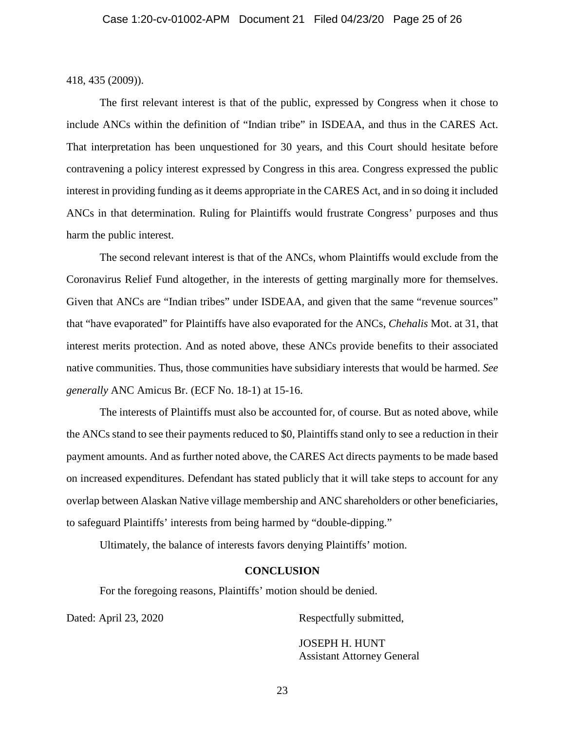418, 435 (2009)).

The first relevant interest is that of the public, expressed by Congress when it chose to include ANCs within the definition of "Indian tribe" in ISDEAA, and thus in the CARES Act. That interpretation has been unquestioned for 30 years, and this Court should hesitate before contravening a policy interest expressed by Congress in this area. Congress expressed the public interest in providing funding as it deems appropriate in the CARES Act, and in so doing it included ANCs in that determination. Ruling for Plaintiffs would frustrate Congress' purposes and thus harm the public interest.

The second relevant interest is that of the ANCs, whom Plaintiffs would exclude from the Coronavirus Relief Fund altogether, in the interests of getting marginally more for themselves. Given that ANCs are "Indian tribes" under ISDEAA, and given that the same "revenue sources" that "have evaporated" for Plaintiffs have also evaporated for the ANCs, *Chehalis* Mot. at 31, that interest merits protection. And as noted above, these ANCs provide benefits to their associated native communities. Thus, those communities have subsidiary interests that would be harmed. *See generally* ANC Amicus Br. (ECF No. 18-1) at 15-16.

The interests of Plaintiffs must also be accounted for, of course. But as noted above, while the ANCs stand to see their payments reduced to \$0, Plaintiffs stand only to see a reduction in their payment amounts. And as further noted above, the CARES Act directs payments to be made based on increased expenditures. Defendant has stated publicly that it will take steps to account for any overlap between Alaskan Native village membership and ANC shareholders or other beneficiaries, to safeguard Plaintiffs' interests from being harmed by "double-dipping."

<span id="page-24-0"></span>Ultimately, the balance of interests favors denying Plaintiffs' motion.

### **CONCLUSION**

For the foregoing reasons, Plaintiffs' motion should be denied.

Dated: April 23, 2020 Respectfully submitted,

JOSEPH H. HUNT Assistant Attorney General

23